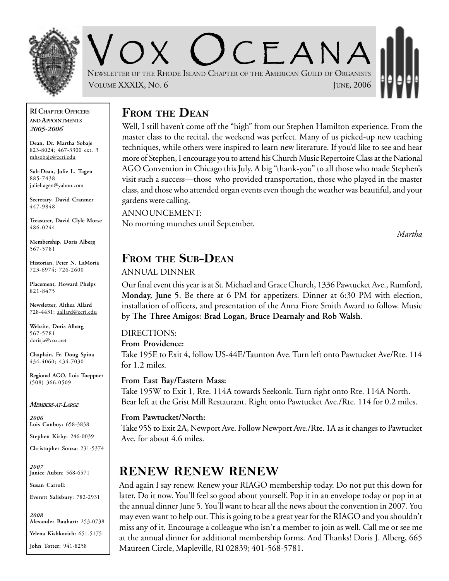

OX UCEANA NEWSLETTER OF THE RHODE ISLAND CHAPTER OF THE AMERICAN GUILD OF ORGANISTS VOLUME XXXIX, NO. 6 JUNE, 2006

#### **RI CHAPTER OFFICERS AND APPOINTMENTS** *2005-2006*

**Dean, Dr. Martha Sobaje** 823-8024; 467-3300 ext. 3 mhsobaje@ccri.edu

**Sub-Dean, Julie L. Tagen** 885-7438 julieltagen@yahoo.com

**Secretary, David Cranmer** 447-9848

**Treasurer, David Clyle Morse** 486-0244

**Membership, Doris Alberg** 567-5781

**Historian, Peter N. LaMoria** 723-6974; 726-2600

**Placement, Howard Phelps** 821-8475

**Newsletter, Althea Allard** 728-4431; aallard@ccri.edu

**Website**, **Doris Alberg** 567-5781 dorisja@cox.net

**Chaplain, Fr. Doug Spina** 434-4060; 434-7030

**Regional AGO, Lois Toeppner** (508) 366-0509

*MEMBERS-AT-LARGE*

*2006* **Lois Conboy:** 658-3838

**Stephen Kirby:** 246-0039

**Christopher Souza:** 231-5374

*2007* **Janice Aubin**: 568-6571

**Susan Carroll:**

**Everett Salisbury:** 782-2931

*2008* **Alexander Bauhart:** 253-0738 **Yelena Kishkovich:** 651-5175 **John Totter:** 941-8258

### **FROM THE DEAN**

Well, I still haven't come off the "high" from our Stephen Hamilton experience. From the master class to the recital, the weekend was perfect. Many of us picked-up new teaching techniques, while others were inspired to learn new literature. If you'd like to see and hear more of Stephen, I encourage you to attend his Church Music Repertoire Class at the National AGO Convention in Chicago this July. A big "thank-you" to all those who made Stephen's visit such a success—those who provided transportation, those who played in the master class, and those who attended organ events even though the weather was beautiful, and your gardens were calling.

ANNOUNCEMENT:

No morning munches until September.

*Martha*

### **FROM THE SUB-DEAN**

#### ANNUAL DINNER

Our final event this year is at St. Michael and Grace Church, 1336 Pawtucket Ave., Rumford, **Monday, June 5**. Be there at 6 PM for appetizers. Dinner at 6:30 PM with election, installation of officers, and presentation of the Anna Fiore Smith Award to follow. Music by **The Three Amigos: Brad Logan, Bruce Dearnaly and Rob Walsh**.

### DIRECTIONS:

#### **From Providence:**

Take 195E to Exit 4, follow US-44E/Taunton Ave. Turn left onto Pawtucket Ave/Rte. 114 for 1.2 miles.

#### **From East Bay/Eastern Mass:**

Take 195W to Exit 1, Rte. 114A towards Seekonk. Turn right onto Rte. 114A North. Bear left at the Grist Mill Restaurant. Right onto Pawtucket Ave./Rte. 114 for 0.2 miles.

#### **From Pawtucket/North:**

Take 95S to Exit 2A, Newport Ave. Follow Newport Ave./Rte. 1A as it changes to Pawtucket Ave. for about 4.6 miles.

## **RENEW RENEW RENEW**

And again I say renew. Renew your RIAGO membership today. Do not put this down for later. Do it now. You'll feel so good about yourself. Pop it in an envelope today or pop in at the annual dinner June 5. You'll want to hear all the news about the convention in 2007. You may even want to help out. This is going to be a great year for the RIAGO and you shouldn't miss any of it. Encourage a colleague who isn't a member to join as well. Call me or see me at the annual dinner for additional membership forms. And Thanks! Doris J. Alberg, 665 Maureen Circle, Mapleville, RI 02839; 401-568-5781.